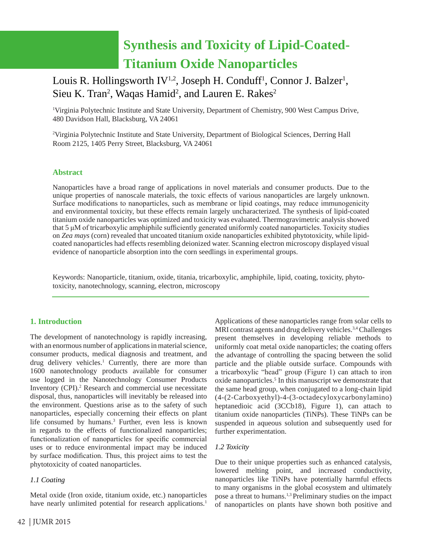# **Synthesis and Toxicity of Lipid-Coated-Titanium Oxide Nanoparticles**

# Louis R. Hollingsworth IV<sup>1,2</sup>, Joseph H. Conduff<sup>1</sup>, Connor J. Balzer<sup>1</sup>, Sieu K. Tran<sup>2</sup>, Waqas Hamid<sup>2</sup>, and Lauren E. Rakes<sup>2</sup>

<sup>1</sup>Virginia Polytechnic Institute and State University, Department of Chemistry, 900 West Campus Drive, 480 Davidson Hall, Blacksburg, VA 24061

2 Virginia Polytechnic Institute and State University, Department of Biological Sciences, Derring Hall Room 2125, 1405 Perry Street, Blacksburg, VA 24061

# **Abstract**

Nanoparticles have a broad range of applications in novel materials and consumer products. Due to the unique properties of nanoscale materials, the toxic effects of various nanoparticles are largely unknown. Surface modifications to nanoparticles, such as membrane or lipid coatings, may reduce immunogenicity and environmental toxicity, but these effects remain largely uncharacterized. The synthesis of lipid-coated titanium oxide nanoparticles was optimized and toxicity was evaluated. Thermogravimetric analysis showed that 5 μM of tricarboxylic amphiphile sufficiently generated uniformly coated nanoparticles. Toxicity studies on *Zea mays* (corn) revealed that uncoated titanium oxide nanoparticles exhibited phytotoxicity, while lipidcoated nanoparticles had effects resembling deionized water. Scanning electron microscopy displayed visual evidence of nanoparticle absorption into the corn seedlings in experimental groups.

Keywords: Nanoparticle, titanium, oxide, titania, tricarboxylic, amphiphile, lipid, coating, toxicity, phytotoxicity, nanotechnology, scanning, electron, microscopy

# **1. Introduction**

The development of nanotechnology is rapidly increasing, with an enormous number of applications in material science, consumer products, medical diagnosis and treatment, and drug delivery vehicles.<sup>1</sup> Currently, there are more than 1600 nanotechnology products available for consumer use logged in the Nanotechnology Consumer Products Inventory (CPI).<sup>2</sup> Research and commercial use necessitate disposal, thus, nanoparticles will inevitably be released into the environment. Questions arise as to the safety of such nanoparticles, especially concerning their effects on plant life consumed by humans.<sup>3</sup> Further, even less is known in regards to the effects of functionalized nanoparticles; functionalization of nanoparticles for specific commercial uses or to reduce environmental impact may be induced by surface modification. Thus, this project aims to test the phytotoxicity of coated nanoparticles.

# *1.1 Coating*

Metal oxide (Iron oxide, titanium oxide, etc.) nanoparticles have nearly unlimited potential for research applications.<sup>1</sup>

Applications of these nanoparticles range from solar cells to MRI contrast agents and drug delivery vehicles.<sup>3,4</sup> Challenges present themselves in developing reliable methods to uniformly coat metal oxide nanoparticles; the coating offers the advantage of controlling the spacing between the solid particle and the pliable outside surface. Compounds with a tricarboxylic "head" group (Figure 1) can attach to iron oxide nanoparticles.<sup>5</sup> In this manuscript we demonstrate that the same head group, when conjugated to a long-chain lipid (4-(2-Carboxyethyl)-4-(3-octadecyloxycarbonylamino) heptanedioic acid (3CCb18), Figure 1), can attach to titanium oxide nanoparticles (TiNPs). These TiNPs can be suspended in aqueous solution and subsequently used for further experimentation.

# *1.2 Toxicity*

Due to their unique properties such as enhanced catalysis, lowered melting point, and increased conductivity, nanoparticles like TiNPs have potentially harmful effects to many organisms in the global ecosystem and ultimately pose a threat to humans.1,3 Preliminary studies on the impact of nanoparticles on plants have shown both positive and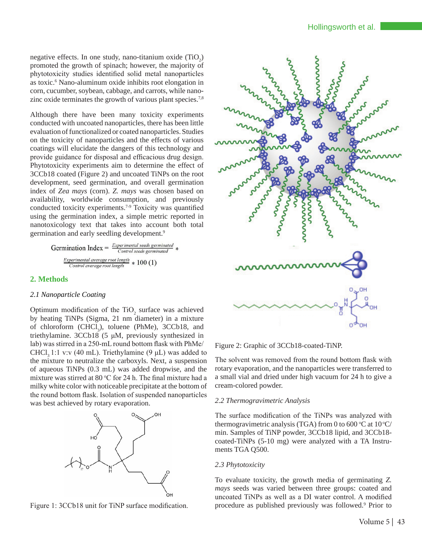negative effects. In one study, nano-titanium oxide  $(TiO_2)$ promoted the growth of spinach; however, the majority of phytotoxicity studies identified solid metal nanoparticles as toxic.<sup>6</sup> Nano-aluminum oxide inhibits root elongation in corn, cucumber, soybean, cabbage, and carrots, while nanozinc oxide terminates the growth of various plant species.<sup>7,8</sup>

Although there have been many toxicity experiments conducted with uncoated nanoparticles, there has been little evaluation of functionalized or coated nanoparticles. Studies on the toxicity of nanoparticles and the effects of various coatings will elucidate the dangers of this technology and provide guidance for disposal and efficacious drug design. Phytotoxicity experiments aim to determine the effect of 3CCb18 coated (Figure 2) and uncoated TiNPs on the root development, seed germination, and overall germination index of *Zea mays* (corn). *Z. mays* was chosen based on availability, worldwide consumption, and previously conducted toxicity experiments.7-9 Toxicity was quantified using the germination index, a simple metric reported in nanotoxicology text that takes into account both total germination and early seedling development.9

**Germanation Index** = 
$$
\frac{Experimental\; seeds\; germinated}{Control\; seeds\; germinated} * \frac{Experimental\; average\;root\; length}{Control\; average\;root\; length} * 100 (1)
$$

# **2. Methods**

# *2.1 Nanoparticle Coating*

Optimum modification of the  $TiO<sub>2</sub>$  surface was achieved by heating TiNPs (Sigma, 21 nm diameter) in a mixture of chloroform  $(CHCl<sub>3</sub>)$ , toluene (PhMe), 3CCb18, and triethylamine. 3CCb18 (5 μM, previously synthesized in lab) was stirred in a 250-mL round bottom flask with PhMe/ CHCl<sub>3</sub> 1:1 v:v (40 mL). Triethylamine (9  $\mu$ L) was added to the mixture to neutralize the carboxyls. Next, a suspension of aqueous TiNPs (0.3 mL) was added dropwise, and the mixture was stirred at 80  $\degree$ C for 24 h. The final mixture had a milky white color with noticeable precipitate at the bottom of the round bottom flask. Isolation of suspended nanoparticles was best achieved by rotary evaporation.



Figure 1: 3CCb18 unit for TiNP surface modification.



Figure 2: Graphic of 3CCb18-coated-TiNP.

The solvent was removed from the round bottom flask with rotary evaporation, and the nanoparticles were transferred to a small vial and dried under high vacuum for 24 h to give a cream-colored powder.

# *2.2 Thermogravimetric Analysis*

The surface modification of the TiNPs was analyzed with thermogravimetric analysis (TGA) from 0 to 600 °C at 10 °C/ min. Samples of TiNP powder, 3CCb18 lipid, and 3CCb18 coated-TiNPs (5-10 mg) were analyzed with a TA Instruments TGA Q500.

# *2.3 Phytotoxicity*

To evaluate toxicity, the growth media of germinating *Z. mays* seeds was varied between three groups: coated and uncoated TiNPs as well as a DI water control. A modified procedure as published previously was followed.9 Prior to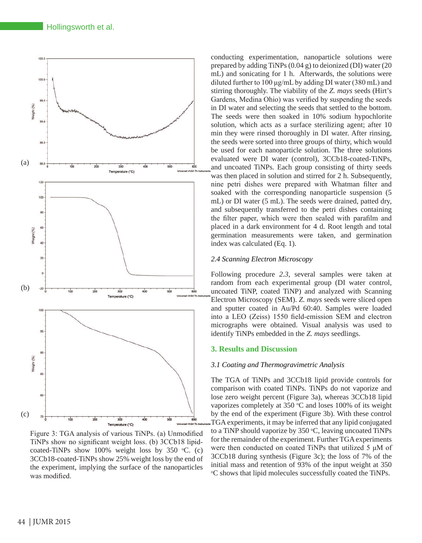Hollingsworth et al.



Figure 3: TGA analysis of various TiNPs. (a) Unmodified TiNPs show no significant weight loss. (b) 3CCb18 lipidcoated-TiNPs show 100% weight loss by 350  $°C$ . (c) 3CCb18-coated-TiNPs show 25% weight loss by the end of the experiment, implying the surface of the nanoparticles was modified.

conducting experimentation, nanoparticle solutions were prepared by adding TiNPs (0.04 g) to deionized (DI) water (20 mL) and sonicating for 1 h. Afterwards, the solutions were diluted further to 100 μg/mL by adding DI water (380 mL) and stirring thoroughly. The viability of the *Z. mays* seeds (Hirt's Gardens, Medina Ohio) was verified by suspending the seeds in DI water and selecting the seeds that settled to the bottom. The seeds were then soaked in 10% sodium hypochlorite solution, which acts as a surface sterilizing agent; after 10 min they were rinsed thoroughly in DI water. After rinsing, the seeds were sorted into three groups of thirty, which would be used for each nanoparticle solution. The three solutions evaluated were DI water (control), 3CCb18-coated-TiNPs, and uncoated TiNPs. Each group consisting of thirty seeds was then placed in solution and stirred for 2 h. Subsequently, nine petri dishes were prepared with Whatman filter and soaked with the corresponding nanoparticle suspension (5 mL) or DI water (5 mL). The seeds were drained, patted dry, and subsequently transferred to the petri dishes containing the filter paper, which were then sealed with parafilm and placed in a dark environment for 4 d. Root length and total germination measurements were taken, and germination index was calculated (Eq. 1).

#### *2.4 Scanning Electron Microscopy*

Following procedure *2.3*, several samples were taken at random from each experimental group (DI water control, uncoated TiNP, coated TiNP) and analyzed with Scanning Electron Microscopy (SEM). *Z. mays* seeds were sliced open and sputter coated in Au/Pd 60:40. Samples were loaded into a LEO (Zeiss) 1550 field-emission SEM and electron micrographs were obtained. Visual analysis was used to identify TiNPs embedded in the *Z. mays* seedlings.

# **3. Results and Discussion**

#### *3.1 Coating and Thermogravimetric Analysis*

The TGA of TiNPs and 3CCb18 lipid provide controls for comparison with coated TiNPs. TiNPs do not vaporize and lose zero weight percent (Figure 3a), whereas 3CCb18 lipid vaporizes completely at  $350$  °C and loses 100% of its weight by the end of the experiment (Figure 3b). With these control TGA experiments, it may be inferred that any lipid conjugated to a TiNP should vaporize by 350 °C, leaving uncoated TiNPs for the remainder of the experiment. Further TGA experiments were then conducted on coated TiNPs that utilized 5 μM of 3CCb18 during synthesis (Figure 3c); the loss of 7% of the initial mass and retention of 93% of the input weight at 350 o C shows that lipid molecules successfully coated the TiNPs.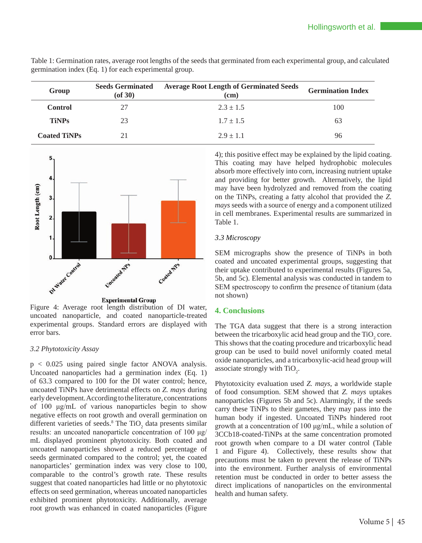| Group               | <b>Seeds Germinated</b><br>$($ of 30 $)$ | <b>Average Root Length of Germinated Seeds</b><br>(cm) | <b>Germination Index</b> |
|---------------------|------------------------------------------|--------------------------------------------------------|--------------------------|
| <b>Control</b>      |                                          | $2.3 \pm 1.5$                                          | 100                      |
| <b>TiNPs</b>        | 23                                       | $1.7 \pm 1.5$                                          | 63                       |
| <b>Coated TiNPs</b> |                                          | $2.9 \pm 1.1$                                          | 96                       |

Table 1: Germination rates, average root lengths of the seeds that germinated from each experimental group, and calculated germination index (Eq. 1) for each experimental group.



Figure 4: Average root length distribution of DI water, uncoated nanoparticle, and coated nanoparticle-treated experimental groups. Standard errors are displayed with error bars.

# *3.2 Phytotoxicity Assay*

p < 0.025 using paired single factor ANOVA analysis. Uncoated nanoparticles had a germination index (Eq. 1) of 63.3 compared to 100 for the DI water control; hence, uncoated TiNPs have detrimental effects on *Z. mays* during early development. According to the literature, concentrations of 100 μg/mL of various nanoparticles begin to show negative effects on root growth and overall germination on different varieties of seeds.<sup>8</sup> The TiO<sub>2</sub> data presents similar results: an uncoated nanoparticle concentration of 100 μg/ mL displayed prominent phytotoxicity. Both coated and uncoated nanoparticles showed a reduced percentage of seeds germinated compared to the control; yet, the coated nanoparticles' germination index was very close to 100, comparable to the control's growth rate. These results suggest that coated nanoparticles had little or no phytotoxic effects on seed germination, whereas uncoated nanoparticles exhibited prominent phytotoxicity. Additionally, average root growth was enhanced in coated nanoparticles (Figure

4); this positive effect may be explained by the lipid coating. This coating may have helped hydrophobic molecules absorb more effectively into corn, increasing nutrient uptake and providing for better growth. Alternatively, the lipid may have been hydrolyzed and removed from the coating on the TiNPs, creating a fatty alcohol that provided the *Z. mays* seeds with a source of energy and a component utilized in cell membranes. Experimental results are summarized in Table 1.

# *3.3 Microscopy*

SEM micrographs show the presence of TiNPs in both coated and uncoated experimental groups, suggesting that their uptake contributed to experimental results (Figures 5a, 5b, and 5c). Elemental analysis was conducted in tandem to SEM spectroscopy to confirm the presence of titanium (data not shown)

# **4. Conclusions**

The TGA data suggest that there is a strong interaction between the tricarboxylic acid head group and the  $TiO<sub>2</sub>$  core. This shows that the coating procedure and tricarboxylic head group can be used to build novel uniformly coated metal oxide nanoparticles, and a tricarboxylic-acid head group will associate strongly with  $TiO<sub>2</sub>$ .

Phytotoxicity evaluation used *Z. mays*, a worldwide staple of food consumption. SEM showed that *Z. mays* uptakes nanoparticles (Figures 5b and 5c). Alarmingly, if the seeds carry these TiNPs to their gametes, they may pass into the human body if ingested. Uncoated TiNPs hindered root growth at a concentration of 100 μg/mL, while a solution of 3CCb18-coated-TiNPs at the same concentration promoted root growth when compare to a DI water control (Table 1 and Figure 4). Collectively, these results show that precautions must be taken to prevent the release of TiNPs into the environment. Further analysis of environmental retention must be conducted in order to better assess the direct implications of nanoparticles on the environmental health and human safety.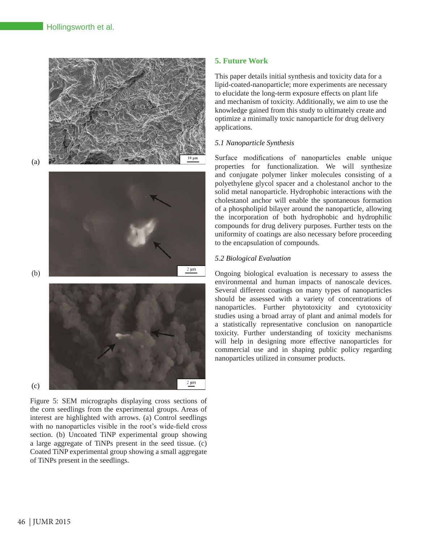

(a)



(b)

(c)



Figure 5: SEM micrographs displaying cross sections of the corn seedlings from the experimental groups. Areas of interest are highlighted with arrows. (a) Control seedlings with no nanoparticles visible in the root's wide-field cross section. (b) Uncoated TiNP experimental group showing a large aggregate of TiNPs present in the seed tissue. (c) Coated TiNP experimental group showing a small aggregate of TiNPs present in the seedlings.

# **5. Future Work**

This paper details initial synthesis and toxicity data for a lipid-coated-nanoparticle; more experiments are necessary to elucidate the long-term exposure effects on plant life and mechanism of toxicity. Additionally, we aim to use the knowledge gained from this study to ultimately create and optimize a minimally toxic nanoparticle for drug delivery applications.

# *5.1 Nanoparticle Synthesis*

Surface modifications of nanoparticles enable unique properties for functionalization. We will synthesize and conjugate polymer linker molecules consisting of a polyethylene glycol spacer and a cholestanol anchor to the solid metal nanoparticle. Hydrophobic interactions with the cholestanol anchor will enable the spontaneous formation of a phospholipid bilayer around the nanoparticle, allowing the incorporation of both hydrophobic and hydrophilic compounds for drug delivery purposes. Further tests on the uniformity of coatings are also necessary before proceeding to the encapsulation of compounds.

# *5.2 Biological Evaluation*

Ongoing biological evaluation is necessary to assess the environmental and human impacts of nanoscale devices. Several different coatings on many types of nanoparticles should be assessed with a variety of concentrations of nanoparticles. Further phytotoxicity and cytotoxicity studies using a broad array of plant and animal models for a statistically representative conclusion on nanoparticle toxicity. Further understanding of toxicity mechanisms will help in designing more effective nanoparticles for commercial use and in shaping public policy regarding nanoparticles utilized in consumer products.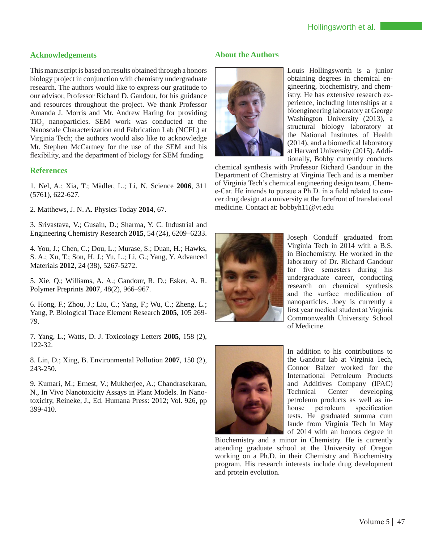# **Acknowledgements**

This manuscript is based on results obtained through a honors biology project in conjunction with chemistry undergraduate research. The authors would like to express our gratitude to our advisor, Professor Richard D. Gandour, for his guidance and resources throughout the project. We thank Professor Amanda J. Morris and Mr. Andrew Haring for providing  $TiO<sub>2</sub>$  nanoparticles. SEM work was conducted at the Nanoscale Characterization and Fabrication Lab (NCFL) at Virginia Tech; the authors would also like to acknowledge Mr. Stephen McCartney for the use of the SEM and his flexibility, and the department of biology for SEM funding.

# **References**

1. Nel, A.; Xia, T.; Mädler, L.; Li, N. Science **2006**, 311 (5761), 622-627.

2. Matthews, J. N. A. Physics Today **2014**, 67.

3. Srivastava, V.; Gusain, D.; Sharma, Y. C. Industrial and Engineering Chemistry Research **2015**, 54 (24), 6209–6233.

4. You, J.; Chen, C.; Dou, L.; Murase, S.; Duan, H.; Hawks, S. A.; Xu, T.; Son, H. J.; Yu, L.; Li, G.; Yang, Y. Advanced Materials **2012**, 24 (38), 5267-5272.

5. Xie, Q.; Williams, A. A.; Gandour, R. D.; Esker, A. R. Polymer Preprints **2007**, 48(2), 966–967.

6. Hong, F.; Zhou, J.; Liu, C.; Yang, F.; Wu, C.; Zheng, L.; Yang, P. Biological Trace Element Research **2005**, 105 269- 79.

7. Yang, L.; Watts, D. J. Toxicology Letters **2005**, 158 (2), 122-32.

8. Lin, D.; Xing, B. Environmental Pollution **2007**, 150 (2), 243-250.

9. Kumari, M.; Ernest, V.; Mukherjee, A.; Chandrasekaran, N., In Vivo Nanotoxicity Assays in Plant Models. In Nanotoxicity, Reineke, J., Ed. Humana Press: 2012; Vol. 926, pp 399-410.

# **About the Authors**



Louis Hollingsworth is a junior obtaining degrees in chemical engineering, biochemistry, and chemistry. He has extensive research experience, including internships at a bioengineering laboratory at George Washington University (2013), a structural biology laboratory at the National Institutes of Health (2014), and a biomedical laboratory at Harvard University (2015). Additionally, Bobby currently conducts

chemical synthesis with Professor Richard Gandour in the Department of Chemistry at Virginia Tech and is a member of Virginia Tech's chemical engineering design team, Cheme-Car. He intends to pursue a Ph.D. in a field related to cancer drug design at a university at the forefront of translational medicine. Contact at: bobbyh11@vt.edu



Joseph Conduff graduated from Virginia Tech in 2014 with a B.S. in Biochemistry. He worked in the laboratory of Dr. Richard Gandour for five semesters during his undergraduate career, conducting research on chemical synthesis and the surface modification of nanoparticles. Joey is currently a first year medical student at Virginia Commonwealth University School of Medicine.



In addition to his contributions to the Gandour lab at Virginia Tech, Connor Balzer worked for the International Petroleum Products and Additives Company (IPAC) Technical Center developing petroleum products as well as inhouse petroleum specification tests. He graduated summa cum laude from Virginia Tech in May of 2014 with an honors degree in

Biochemistry and a minor in Chemistry. He is currently attending graduate school at the University of Oregon working on a Ph.D. in their Chemistry and Biochemistry program. His research interests include drug development and protein evolution.